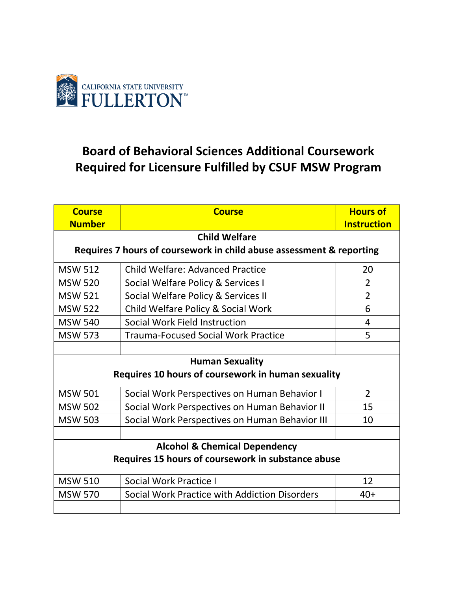

## **Board of Behavioral Sciences Additional Coursework Required for Licensure Fulfilled by CSUF MSW Program**

| <b>Course</b>                                                        | <b>Course</b>                                  | <b>Hours of</b>    |  |
|----------------------------------------------------------------------|------------------------------------------------|--------------------|--|
| <b>Number</b>                                                        |                                                | <b>Instruction</b> |  |
| <b>Child Welfare</b>                                                 |                                                |                    |  |
| Requires 7 hours of coursework in child abuse assessment & reporting |                                                |                    |  |
| <b>MSW 512</b>                                                       | <b>Child Welfare: Advanced Practice</b>        | 20                 |  |
| <b>MSW 520</b>                                                       | Social Welfare Policy & Services I             | $\overline{2}$     |  |
| <b>MSW 521</b>                                                       | Social Welfare Policy & Services II            | $\overline{2}$     |  |
| <b>MSW 522</b>                                                       | Child Welfare Policy & Social Work             | 6                  |  |
| <b>MSW 540</b>                                                       | Social Work Field Instruction                  | 4                  |  |
| <b>MSW 573</b>                                                       | <b>Trauma-Focused Social Work Practice</b>     | 5                  |  |
|                                                                      |                                                |                    |  |
| <b>Human Sexuality</b>                                               |                                                |                    |  |
| Requires 10 hours of coursework in human sexuality                   |                                                |                    |  |
| <b>MSW 501</b>                                                       | Social Work Perspectives on Human Behavior I   | $\overline{2}$     |  |
| <b>MSW 502</b>                                                       | Social Work Perspectives on Human Behavior II  | 15                 |  |
| <b>MSW 503</b>                                                       | Social Work Perspectives on Human Behavior III | 10                 |  |
|                                                                      |                                                |                    |  |
| <b>Alcohol &amp; Chemical Dependency</b>                             |                                                |                    |  |
| Requires 15 hours of coursework in substance abuse                   |                                                |                    |  |
| <b>MSW 510</b>                                                       | Social Work Practice I                         | 12                 |  |
| <b>MSW 570</b>                                                       | Social Work Practice with Addiction Disorders  | $40+$              |  |
|                                                                      |                                                |                    |  |